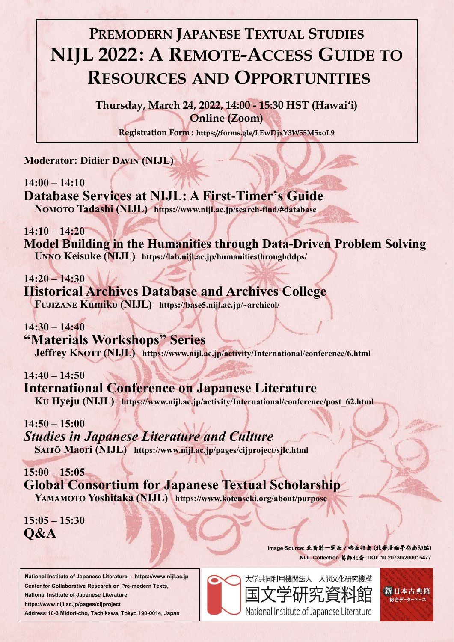**Moderator: Didier Davin (NIJL)**

**14:00 – 14:10 Database Services at NIJL: A First-Timer's Guide**

**Nomoto Tadashi (NIJL) https://www.nijl.ac.jp/search-find/#database** 

**"Materials Workshops" Series Jeffrey KNOTT (NIJL)** https://www.nijl.ac.jp/activity/International/conference/6.html

**14:10 – 14:20 Model Building in the Humanities through Data-Driven Problem Solving Unno Keisuke (NIJL) https://lab.nijl.ac.jp/humanitiesthroughddps/**

**14:20 – 14:30 Historical Archives Database and Archives College Fujizane Kumiko (NIJL) https://base5.nijl.ac.jp/~archicol/**

**14:30 – 14:40**

**14:40 – 14:50 International Conference on Japanese Literature**

**Ku Hyeju (NIJL) https://www.nijl.ac.jp/activity/International/conference/post\_62.html**

**14:50 – 15:00**

### *Studies in Japanese Literature and Culture*

**Saitō Maori (NIJL) https://www.nijl.ac.jp/pages/cijproject/sjlc.html**

**15:00 – 15:05 Global Consortium for Japanese Textual Scholarship**

## **Yamamoto Yoshitaka (NIJL) https://www.kotenseki.org/about/purpose**

**15:05 – 15:30 Q&A**

# **PREMODERN JAPANESE TEXTUAL STUDIES NIJL 2022: A REMOTE-ACCESS GUIDE TO RESOURCES AND OPPORTUNITIES**

**Thursday, March 24, 2022, 14:00 - 15:30 HST (Hawai'i) Online (Zoom)**

**Registration Form : https://forms.gle/LEwDjxY3W55M5xoL9**

 **National Institute of Japanese Literature - https://www.nijl.ac.jp Center for Collaborative Research on Pre-modern Texts, National Institute of Japanese Literature https://www.nijl.ac.jp/pages/cijproject Address:10-3 Midori-cho, Tachikawa, Tokyo 190-0014, Japan** 





**Image Source:** 北斎翁一筆画/略画指南 (北齋漫画早指南初編) **NIJL Collection,**葛飾北斎, **DOI: 10.20730/200015477**